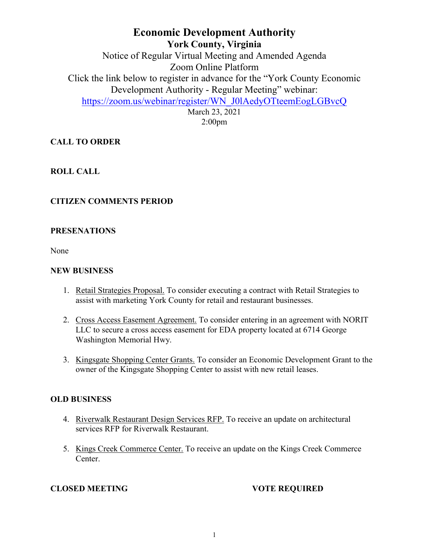# **Economic Development Authority York County, Virginia** Notice of Regular Virtual Meeting and Amended Agenda Zoom Online Platform Click the link below to register in advance for the "York County Economic Development Authority - Regular Meeting" webinar: [https://zoom.us/webinar/register/WN\\_J0lAedyOTteemEogLGBvcQ](https://zoom.us/webinar/register/WN_J0lAedyOTteemEogLGBvcQ) March 23, 2021

2:00pm

## **CALL TO ORDER**

### **ROLL CALL**

#### **CITIZEN COMMENTS PERIOD**

#### **PRESENATIONS**

None

#### **NEW BUSINESS**

- 1. Retail Strategies Proposal. To consider executing a contract with Retail Strategies to assist with marketing York County for retail and restaurant businesses.
- 2. Cross Access Easement Agreement. To consider entering in an agreement with NORIT LLC to secure a cross access easement for EDA property located at 6714 George Washington Memorial Hwy.
- 3. Kingsgate Shopping Center Grants. To consider an Economic Development Grant to the owner of the Kingsgate Shopping Center to assist with new retail leases.

#### **OLD BUSINESS**

- 4. Riverwalk Restaurant Design Services RFP. To receive an update on architectural services RFP for Riverwalk Restaurant.
- 5. Kings Creek Commerce Center. To receive an update on the Kings Creek Commerce Center.

### **CLOSED MEETING VOTE REQUIRED**